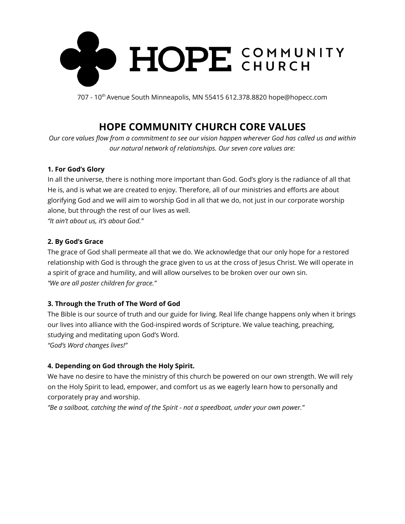

707 - 10<sup>th</sup> Avenue South Minneapolis, MN 55415 612.378.8820 hope@hopecc.com

# **HOPE COMMUNITY CHURCH CORE VALUES**

Our core values flow from a commitment to see our vision happen wherever God has called us and within *our natural network of relationships. Our seven core values are:*

### **1. For God's Glory**

In all the universe, there is nothing more important than God. God's glory is the radiance of all that He is, and is what we are created to enjoy. Therefore, all of our ministries and efforts are about glorifying God and we will aim to worship God in all that we do, not just in our corporate worship alone, but through the rest of our lives as well.

*"It ain't about us, it's about God."*

## **2. By God's Grace**

The grace of God shall permeate all that we do. We acknowledge that our only hope for a restored relationship with God is through the grace given to us at the cross of Jesus Christ. We will operate in a spirit of grace and humility, and will allow ourselves to be broken over our own sin. *"We are all poster children for grace."*

## **3. Through the Truth of The Word of God**

The Bible is our source of truth and our guide for living. Real life change happens only when it brings our lives into alliance with the God-inspired words of Scripture. We value teaching, preaching, studying and meditating upon God's Word.

*"God's Word changes lives!"*

## **4. Depending on God through the Holy Spirit.**

We have no desire to have the ministry of this church be powered on our own strength. We will rely on the Holy Spirit to lead, empower, and comfort us as we eagerly learn how to personally and corporately pray and worship.

*"Be a sailboat, catching the wind of the Spirit - not a speedboat, under your own power."*